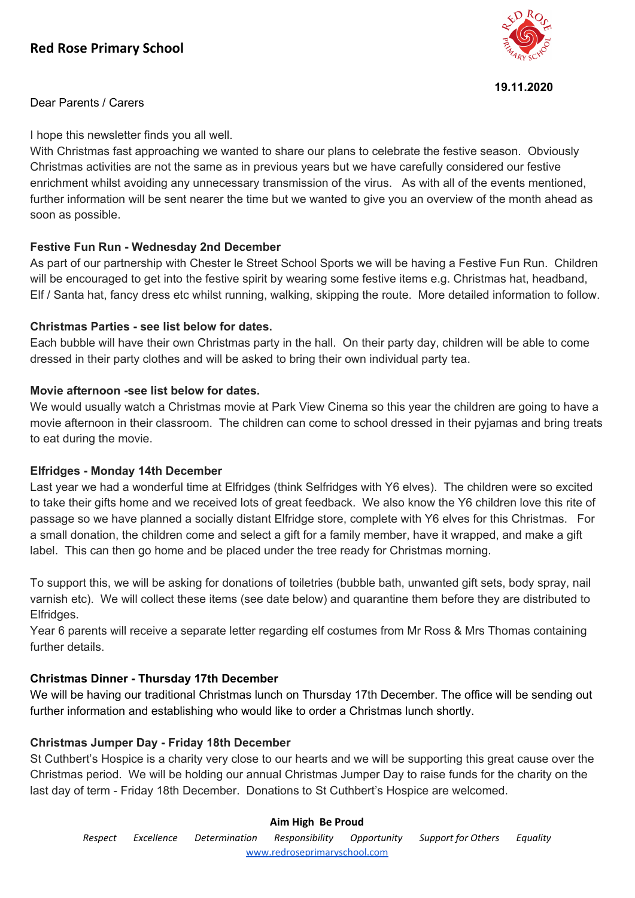# **Red Rose Primary School**



#### **19.11.2020**

Dear Parents / Carers

I hope this newsletter finds you all well.

With Christmas fast approaching we wanted to share our plans to celebrate the festive season. Obviously Christmas activities are not the same as in previous years but we have carefully considered our festive enrichment whilst avoiding any unnecessary transmission of the virus. As with all of the events mentioned, further information will be sent nearer the time but we wanted to give you an overview of the month ahead as soon as possible.

# **Festive Fun Run - Wednesday 2nd December**

As part of our partnership with Chester le Street School Sports we will be having a Festive Fun Run. Children will be encouraged to get into the festive spirit by wearing some festive items e.g. Christmas hat, headband, Elf / Santa hat, fancy dress etc whilst running, walking, skipping the route. More detailed information to follow.

## **Christmas Parties - see list below for dates.**

Each bubble will have their own Christmas party in the hall. On their party day, children will be able to come dressed in their party clothes and will be asked to bring their own individual party tea.

## **Movie afternoon -see list below for dates.**

We would usually watch a Christmas movie at Park View Cinema so this year the children are going to have a movie afternoon in their classroom. The children can come to school dressed in their pyjamas and bring treats to eat during the movie.

#### **Elfridges - Monday 14th December**

Last year we had a wonderful time at Elfridges (think Selfridges with Y6 elves). The children were so excited to take their gifts home and we received lots of great feedback. We also know the Y6 children love this rite of passage so we have planned a socially distant Elfridge store, complete with Y6 elves for this Christmas. For a small donation, the children come and select a gift for a family member, have it wrapped, and make a gift label. This can then go home and be placed under the tree ready for Christmas morning.

To support this, we will be asking for donations of toiletries (bubble bath, unwanted gift sets, body spray, nail varnish etc). We will collect these items (see date below) and quarantine them before they are distributed to Elfridges.

Year 6 parents will receive a separate letter regarding elf costumes from Mr Ross & Mrs Thomas containing further details.

# **Christmas Dinner - Thursday 17th December**

We will be having our traditional Christmas lunch on Thursday 17th December. The office will be sending out further information and establishing who would like to order a Christmas lunch shortly.

# **Christmas Jumper Day - Friday 18th December**

St Cuthbert's Hospice is a charity very close to our hearts and we will be supporting this great cause over the Christmas period. We will be holding our annual Christmas Jumper Day to raise funds for the charity on the last day of term - Friday 18th December. Donations to St Cuthbert's Hospice are welcomed.

#### **Aim High Be Proud**